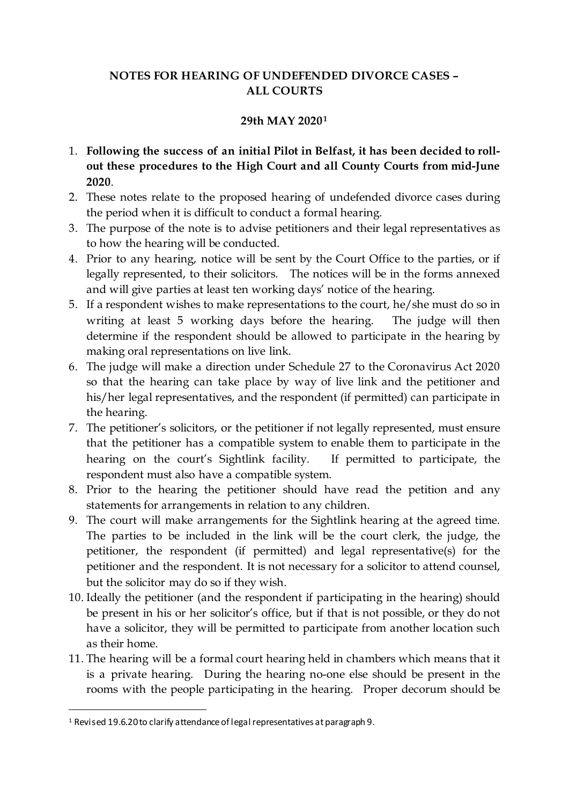## **NOTES FOR HEARING OF UNDEFENDED DIVORCE CASES – ALL COURTS**

#### **29th MAY 2020[1](#page-0-0)**

- 1. **Following the success of an initial Pilot in Belfast, it has been decided to rollout these procedures to the High Court and all County Courts from mid-June 2020**.
- 2. These notes relate to the proposed hearing of undefended divorce cases during the period when it is difficult to conduct a formal hearing.
- 3. The purpose of the note is to advise petitioners and their legal representatives as to how the hearing will be conducted.
- 4. Prior to any hearing, notice will be sent by the Court Office to the parties, or if legally represented, to their solicitors. The notices will be in the forms annexed and will give parties at least ten working days' notice of the hearing.
- 5. If a respondent wishes to make representations to the court, he/she must do so in writing at least 5 working days before the hearing. The judge will then determine if the respondent should be allowed to participate in the hearing by making oral representations on live link.
- 6. The judge will make a direction under Schedule 27 to the Coronavirus Act 2020 so that the hearing can take place by way of live link and the petitioner and his/her legal representatives, and the respondent (if permitted) can participate in the hearing.
- 7. The petitioner's solicitors, or the petitioner if not legally represented, must ensure that the petitioner has a compatible system to enable them to participate in the hearing on the court's Sightlink facility. If permitted to participate, the respondent must also have a compatible system.
- 8. Prior to the hearing the petitioner should have read the petition and any statements for arrangements in relation to any children.
- 9. The court will make arrangements for the Sightlink hearing at the agreed time. The parties to be included in the link will be the court clerk, the judge, the petitioner, the respondent (if permitted) and legal representative(s) for the petitioner and the respondent. It is not necessary for a solicitor to attend counsel, but the solicitor may do so if they wish.
- 10. Ideally the petitioner (and the respondent if participating in the hearing) should be present in his or her solicitor's office, but if that is not possible, or they do not have a solicitor, they will be permitted to participate from another location such as their home.
- 11. The hearing will be a formal court hearing held in chambers which means that it is a private hearing. During the hearing no-one else should be present in the rooms with the people participating in the hearing. Proper decorum should be

<span id="page-0-0"></span><sup>&</sup>lt;sup>1</sup> Revised 19.6.20 to clarify attendance of legal representatives at paragraph 9.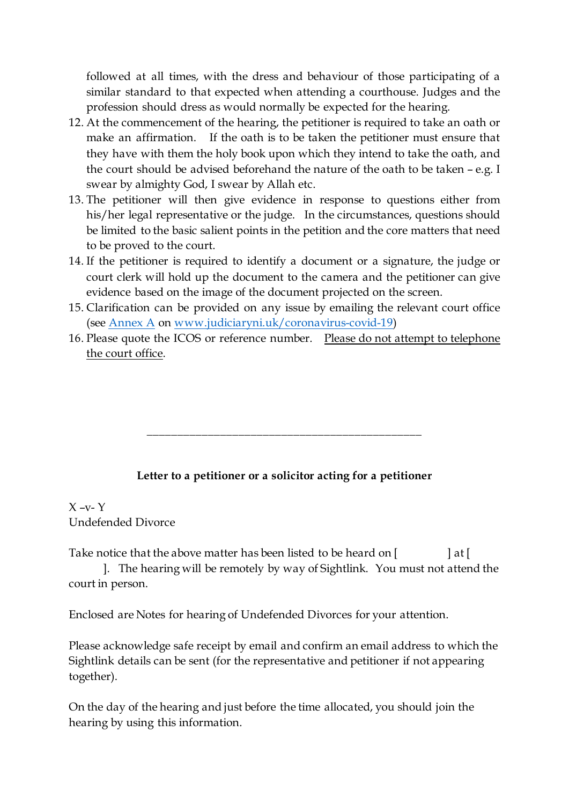followed at all times, with the dress and behaviour of those participating of a similar standard to that expected when attending a courthouse. Judges and the profession should dress as would normally be expected for the hearing.

- 12. At the commencement of the hearing, the petitioner is required to take an oath or make an affirmation. If the oath is to be taken the petitioner must ensure that they have with them the holy book upon which they intend to take the oath, and the court should be advised beforehand the nature of the oath to be taken – e.g. I swear by almighty God, I swear by Allah etc.
- 13. The petitioner will then give evidence in response to questions either from his/her legal representative or the judge. In the circumstances, questions should be limited to the basic salient points in the petition and the core matters that need to be proved to the court.
- 14. If the petitioner is required to identify a document or a signature, the judge or court clerk will hold up the document to the camera and the petitioner can give evidence based on the image of the document projected on the screen.
- 15. Clarification can be provided on any issue by emailing the relevant court office (see [Annex A](https://judiciaryni.uk/sites/judiciary/files/media-files/ANNEX%20A%20%20Business%20Continuity%20Covid%2019%20-%20Court%20Office%20Contact%20Details%20-%2023.03.20_2.pdf) o[n www.judiciaryni.uk/coronavirus-covid-19](http://www.judiciaryni.uk/coronavirus-covid-19))
- 16. Please quote the ICOS or reference number. Please do not attempt to telephone the court office.

# **Letter to a petitioner or a solicitor acting for a petitioner**

\_\_\_\_\_\_\_\_\_\_\_\_\_\_\_\_\_\_\_\_\_\_\_\_\_\_\_\_\_\_\_\_\_\_\_\_\_\_\_\_\_\_\_\_\_

## $X -V - Y$ Undefended Divorce

Take notice that the above matter has been listed to be heard on  $\begin{bmatrix} a \end{bmatrix}$  at  $\begin{bmatrix} a \end{bmatrix}$ 

]. The hearing will be remotely by way of Sightlink. You must not attend the court in person.

Enclosed are Notes for hearing of Undefended Divorces for your attention.

Please acknowledge safe receipt by email and confirm an email address to which the Sightlink details can be sent (for the representative and petitioner if not appearing together).

On the day of the hearing and just before the time allocated, you should join the hearing by using this information.